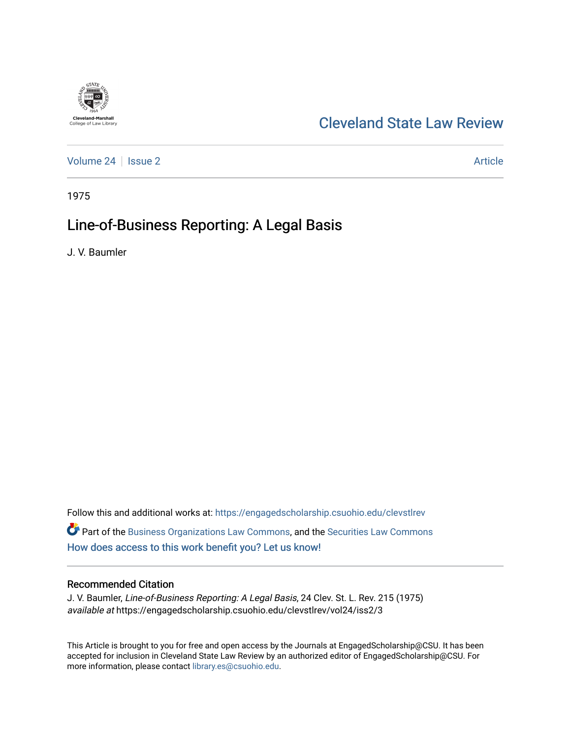

# [Cleveland State Law Review](https://engagedscholarship.csuohio.edu/clevstlrev)

[Volume 24](https://engagedscholarship.csuohio.edu/clevstlrev/vol24) | [Issue 2](https://engagedscholarship.csuohio.edu/clevstlrev/vol24/iss2) Article

1975

# Line-of-Business Reporting: A Legal Basis

J. V. Baumler

Follow this and additional works at: [https://engagedscholarship.csuohio.edu/clevstlrev](https://engagedscholarship.csuohio.edu/clevstlrev?utm_source=engagedscholarship.csuohio.edu%2Fclevstlrev%2Fvol24%2Fiss2%2F3&utm_medium=PDF&utm_campaign=PDFCoverPages) Part of the [Business Organizations Law Commons](http://network.bepress.com/hgg/discipline/900?utm_source=engagedscholarship.csuohio.edu%2Fclevstlrev%2Fvol24%2Fiss2%2F3&utm_medium=PDF&utm_campaign=PDFCoverPages), and the [Securities Law Commons](http://network.bepress.com/hgg/discipline/619?utm_source=engagedscholarship.csuohio.edu%2Fclevstlrev%2Fvol24%2Fiss2%2F3&utm_medium=PDF&utm_campaign=PDFCoverPages)  [How does access to this work benefit you? Let us know!](http://library.csuohio.edu/engaged/)

## Recommended Citation

J. V. Baumler, Line-of-Business Reporting: A Legal Basis, 24 Clev. St. L. Rev. 215 (1975) available at https://engagedscholarship.csuohio.edu/clevstlrev/vol24/iss2/3

This Article is brought to you for free and open access by the Journals at EngagedScholarship@CSU. It has been accepted for inclusion in Cleveland State Law Review by an authorized editor of EngagedScholarship@CSU. For more information, please contact [library.es@csuohio.edu](mailto:library.es@csuohio.edu).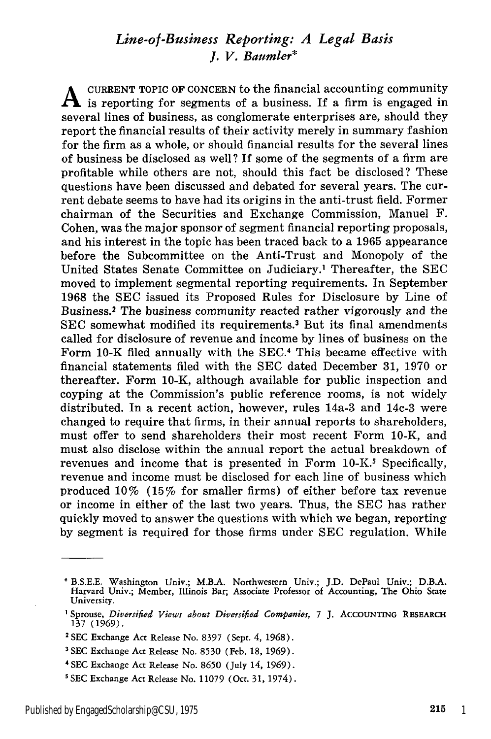## *Line-of-Business Reporting: A Legal Basis J. V. Baumler\**

CURRENT TOPIC OF CONCERN to the financial accounting community  $\mathbf A$  is reporting for segments of a business. If a firm is engaged in several lines of business, as conglomerate enterprises are, should they report the financial results of their activity merely in summary fashion for the firm as a whole, or should financial results for the several lines of business be disclosed as well? If some of the segments of a firm are profitable while others are not, should this fact be disclosed? These questions have been discussed and debated for several years. The current debate seems to have had its origins in the anti-trust field. Former chairman of the Securities and Exchange Commission, Manuel F. Cohen, was the major sponsor of segment financial reporting proposals, and his interest in the topic has been traced back to a 1965 appearance before the Subcommittee on the Anti-Trust and Monopoly of the United States Senate Committee on Judiciary.' Thereafter, the SEC moved to implement segmental reporting requirements. In September 1968 the SEC issued its Proposed Rules for Disclosure by Line of Business.<sup>2</sup> The business community reacted rather vigorously and the SEC somewhat modified its requirements.<sup>3</sup> But its final amendments called for disclosure of revenue and income by lines of business on the Form 10-K filed annually with the SEC.4 This became effective with financial statements filed with the SEC dated December 31, 1970 or thereafter. Form 10-K, although available for public inspection and coyping at the Commission's public reference rooms, is not widely distributed. In a recent action, however, rules 14a-3 and 14c-3 were changed to require that firms, in their annual reports to shareholders, must offer to send shareholders their most recent Form 10-K, and must also disclose within the annual report the actual breakdown of revenues and income that is presented in Form 10-K.<sup>5</sup> Specifically, revenue and income must be disclosed for each line of business which produced 10% (15% for smaller firms) of either before tax revenue or income in either of the last two years. Thus, the SEC has rather quickly moved to answer the questions with which we began, reporting by segment is required for those firms under SEC regulation. While

<sup>\*</sup> B.S.E.E. Washington Univ.; M.B.A. Northwestern Univ.; J.D. DePaul Univ.; D.B.A. Harvard Univ.; Member, Illinois Bar; Associate Professor **of** Accounting, The Ohio State University.

**<sup>1</sup>** Sprouse, *Diversified Views about Diversified Companies, 7* J. **ACCOUNTING** RESEARCH 137 (1969).

**<sup>2</sup>** SEC Exchange Act Release No. 8397 (Sept. 4, 1968).

**<sup>3</sup> SEC** Exchange Act Release No. 8530 (Feb. **18, 1969).**

<sup>4</sup> SEC Exchange Act Release No. 8650 (July 14, **1969).**

s SEC Exchange Act Release No. 11079 (Oct. **31,** 1974).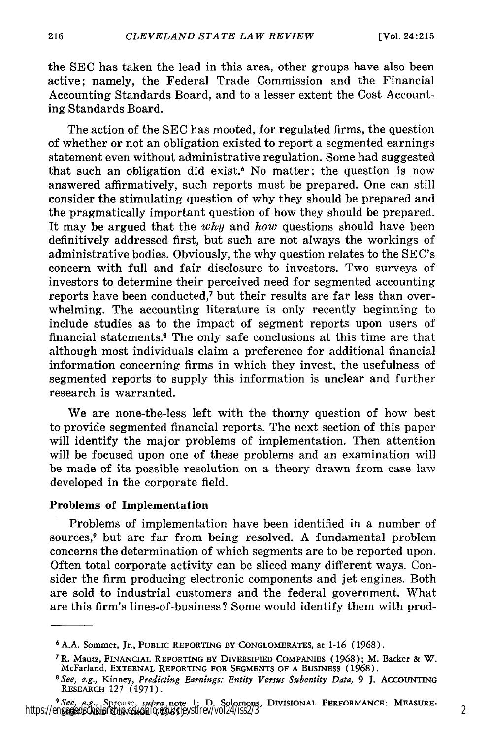the SEC has taken the lead in this area, other groups have also been active; namely, the Federal Trade Commission and the Financial Accounting Standards Board, and to a lesser extent the Cost Accounting Standards Board.

The action of the SEC has mooted, for regulated firms, the question of whether or not an obligation existed to report a segmented earnings statement even without administrative regulation. Some had suggested that such an obligation did exist.6 No matter; the question is now answered affirmatively, such reports must be prepared. One can still consider the stimulating question of why they should be prepared and the pragmatically important question of how they should be prepared. It may be argued that the *why* and *how* questions should have been definitively addressed first, but such are not always the workings of administrative bodies. Obviously, the why question relates to the SEC's concern with full and fair disclosure to investors. Two surveys of investors to determine their perceived need for segmented accounting reports have been conducted,<sup>7</sup> but their results are far less than overwhelming. The accounting literature is only recently beginning to include studies as to the impact of segment reports upon users of financial statements.8 The only safe conclusions at this time are that although most individuals claim a preference for additional financial information concerning firms in which they invest, the usefulness of segmented reports to supply this information is unclear and further research is warranted.

We are none-the-less left with the thorny question of how best to provide segmented financial reports. The next section of this paper will identify the major problems of implementation. Then attention will be focused upon one of these problems and an examination will be made of its possible resolution on a theory drawn from case law developed in the corporate field.

#### Problems of **Implementation**

Problems of implementation have been identified in a number of sources,<sup>9</sup> but are far from being resolved. A fundamental problem concerns the determination of which segments are to be reported upon. Often total corporate activity can be sliced many different ways. Consider the firm producing electronic components and jet engines. Both are sold to industrial customers and the federal government. What are this firm's lines-of-business? Some would identify them with prod-

**<sup>6</sup> A.A.** Sommer, Jr., **PUBLIC** REPORTING **BY** CONGLOMERATES, at 1-16 **(1968).**

**<sup>7</sup>** R. Mautz, FINANCIAL REPORTING **BY** DIVERSIFIED COMPANIES (1968); M. Backer & W. McFarland, EXTERNAL REPORTING **FOR SEGMENTS** OF **A BUSINESS** (1968). *<sup>8</sup>See, e.g.,* Kinney, *Predicting Earnings: Entity Versus Subentity Data, 9* **J.** ACCOUNTING

RESEARCH 127 (1971).

<sup>9</sup> See, e.g., Sprouse, *supra* note **1; D.** Solomons, **DIVISIONAL** PERFORMANCE: **MEASURE-MENT AND** CONTROL (1965). https://engagedscholarship.csuohio.edu/clevstlrev/vol24/iss2/3 2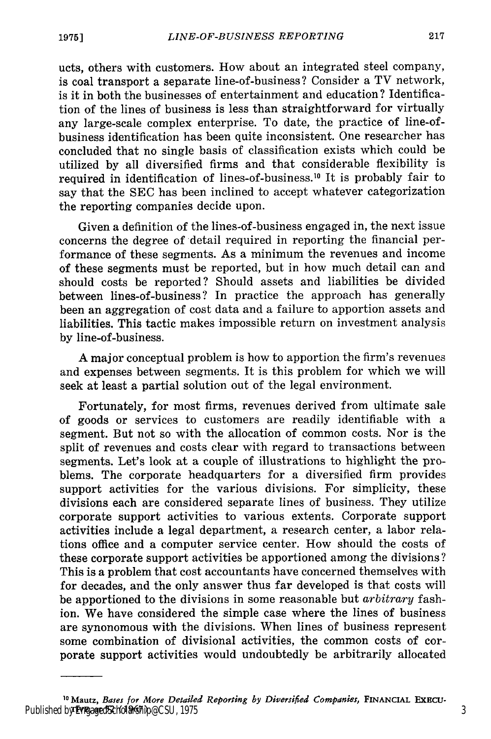ucts, others with customers. How about an integrated steel company, is coal transport a separate line-of-business? Consider a TV network, is it in both the businesses of entertainment and education? Identification of the lines of business is less than straightforward for virtually any large-scale complex enterprise. To date, the practice of line-ofbusiness identification has been quite inconsistent. One researcher has concluded that no single basis of classification exists which could be utilized by all diversified firms and that considerable flexibility is required in identification of lines-of-business.<sup>10</sup> It is probably fair to say that the SEC has been inclined to accept whatever categorization the reporting companies decide upon.

Given a definition of the lines-of-business engaged in, the next issue concerns the degree of detail required in reporting the financial performance of these segments. As a minimum the revenues and income of these segments must be reported, but in how much detail can and should costs be reported? Should assets and liabilities be divided between lines-of-business? In practice the approach has generally been an aggregation of cost data and a failure to apportion assets and liabilities. This tactic makes impossible return on investment analysis by line-of-business.

A major conceptual problem is how to apportion the firm's revenues and expenses between segments. It is this problem for which we will seek at least a partial solution out of the legal environment.

Fortunately, for most firms, revenues derived from ultimate sale of goods or services to customers are readily identifiable with a segment. But not so with the allocation of common costs. Nor is the split of revenues and costs clear with regard to transactions between segments. Let's look at a couple of illustrations to highlight the problems. The corporate headquarters for a diversified firm provides support activities for the various divisions. For simplicity, these divisions each are considered separate lines of business. They utilize corporate support activities to various extents. Corporate support activities include a legal department, a research center, a labor relations office and a computer service center. How should the costs of these corporate support activities be apportioned among the divisions? This is a problem that cost accountants have concerned themselves with for decades, and the only answer thus far developed is that costs will be apportioned to the divisions in some reasonable but *arbitrary* fashion. We have considered the simple case where the lines of business are synonomous with the divisions. When lines of business represent some combination of divisional activities, the common costs of corporate support activities would undoubtedly be arbitrarily allocated

<sup>&</sup>lt;sup>10</sup> Mautz, *Bases for More Detailed Reporting by Diversified Companies, FINANCIAL EXECU-*Published by EngagedScholarship@CSU, 1975 33 **32 33 33 34 34 35 36 36 37 38 37 38 37 38 37 38 38 38 39 38 38 39 30 31 32 33 33 33 33 33 33 33 34 35 35 36 37 38 39 39 30 31 32 33 34 35 35 36 37 38 38 39 39 39 30 31 32 33 34**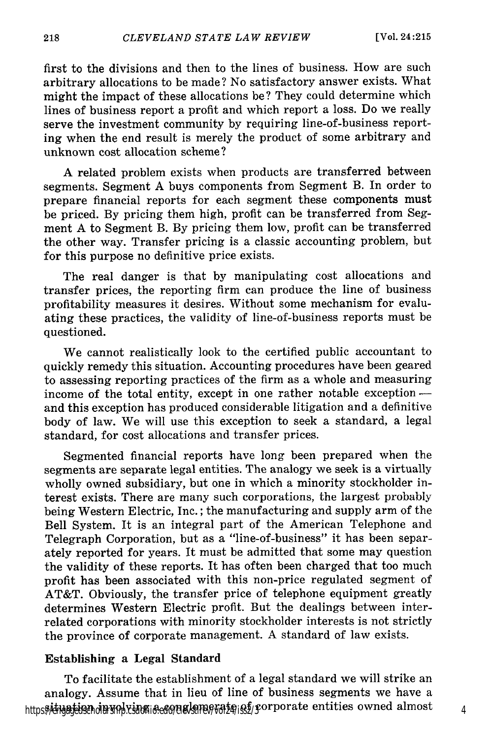first to the divisions and then to the lines of business. How are such arbitrary allocations to be made? No satisfactory answer exists. What might the impact of these allocations be? They could determine which lines of business report a profit and which report a loss. Do we really serve the investment community by requiring line-of-business reporting when the end result is merely the product of some arbitrary and unknown cost allocation scheme?

A related problem exists when products are transferred between segments. Segment A buys components from Segment B. In order to prepare financial reports for each segment these components must be priced. By pricing them high, profit can be transferred from Segment A to Segment B. By pricing them low, profit can be transferred the other way. Transfer pricing is a classic accounting problem, but for this purpose no definitive price exists.

The real danger is that by manipulating cost allocations and transfer prices, the reporting firm can produce the line of business profitability measures it desires. Without some mechanism for evaluating these practices, the validity of line-of-business reports must be questioned.

We cannot realistically look to the certified public accountant to quickly remedy this situation. Accounting procedures have been geared to assessing reporting practices of the firm as a whole and measuring income of the total entity, except in one rather notable exception  and this exception has produced considerable litigation and a definitive body of law. We will use this exception to seek a standard, a legal standard, for cost allocations and transfer prices.

Segmented financial reports have long been prepared when the segments are separate legal entities. The analogy we seek is a virtually wholly owned subsidiary, but one in which a minority stockholder interest exists. There are many such corporations, the largest probably being Western Electric, Inc.; the manufacturing and supply arm of the Bell System. It is an integral part of the American Telephone and Telegraph Corporation, but as a "line-of-business" it has been separately reported for years. It must be admitted that some may question the validity of these reports. It has often been charged that too much profit has been associated with this non-price regulated segment of AT&T. Obviously, the transfer price of telephone equipment greatly determines Western Electric profit. But the dealings between interrelated corporations with minority stockholder interests is not strictly the province of corporate management. A standard of law exists.

### Establishing a Legal Standard

To facilitate the establishment of a legal standard we will strike an analogy. Assume that in lieu of line of business segments we have a https: *Addantion din Mody. Line a come lemos tale* is f/sorporate entities owned almost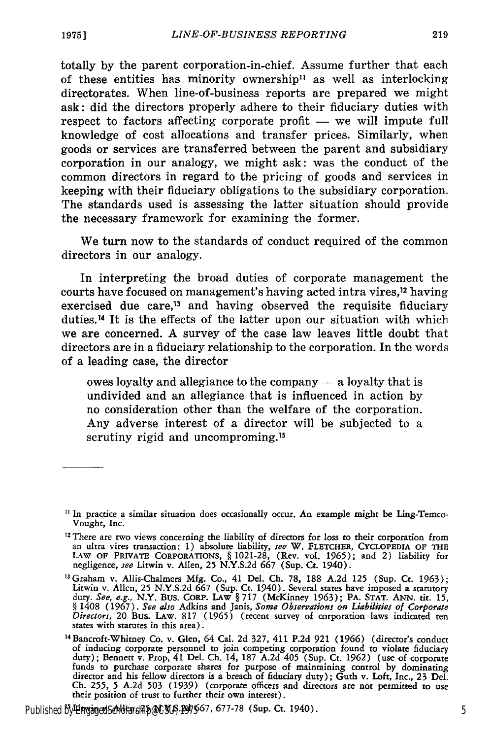totally **by** the parent corporation-in-chief. Assume further that each of these entities has minority ownership" as well as interlocking directorates. When line-of-business reports are prepared we might ask: did the directors properly adhere to their fiduciary duties with respect to factors affecting corporate profit — we will impute full knowledge of cost allocations and transfer prices. Similarly, when goods or services are transferred between the parent and subsidiary corporation in our analogy, we might ask: was the conduct of the common directors in regard to the pricing of goods and services in keeping with their fiduciary obligations to the subsidiary corporation. The standards used is assessing the latter situation should provide the necessary framework for examining the former.

We turn now to the standards of conduct required of the common directors in our analogy.

In interpreting the broad duties of corporate management the courts have focused on management's having acted intra vires, 12 having exercised due care,<sup>13</sup> and having observed the requisite fiduciary duties. 14 It is the effects of the latter upon our situation with which we are concerned. **A** survey of the case law leaves little doubt that directors are in a fiduciary relationship to the corporation. In the words of a leading case, the director

owes loyalty and allegiance to the company **-** a loyalty that is undivided and an allegiance that is influenced in action **by** no consideration other than the welfare of the corporation. Any adverse interest of a director will be subjected to a scrutiny rigid and uncomproming.<sup>15</sup>

Published by EngagedScholarship@CSU<sub>5</sub>.2d7567, 677-78 **(Sup. Ct. 1940).** The context of the state of the state of the state of the state of the state of the state of the state of the state of the state of the state of the

 $\textsuperscript{II}$  In practice a similar situation does occasionally occur. An example might be Ling-Temco-Vought, Inc.

**<sup>12</sup>** There are two views concerning the liability of directors for loss to their corporation from an ultra vires transaction: **1)** absolute liability, *see* W. **FLETCHER, CYCLOPEDIA OF THE LAW OF PRIVATE CORPORATIONS, § 1021-28,** (Rev. vol. **1965);** and 2) liability for negligence, *see* Litwin v. Allen, **25 N.Y.S.2d 667** (Sup. Ct. 1940).

<sup>13</sup>Graham v. Allis-Chalmers **Mfg.** Co., 41 Del. **Ch. 78, 188 A.2d 125** (Sup. Ct. **1963);** Litwin v. Allen, **25 N.Y.S.2d 667** (Sup. Ct. 1940). Several states have imposed a statutory duty. *See, e.g.,* N.Y. Bus. **CORP. LAW § 717** (McKinney **1963);** PA. **STAT. ANN. tit. 15, §** 1408 **(1967).** *See also* Adkins and Janis, *Some Observations on Liabilities of Corporate Directors,* 20 Bus. **LAW. 817 (1965)** (recent survey of corporation laws indicated ten states with statutes in this area).

<sup>14</sup> Bancroft-Whitney Co. v. Glen, 64 Cal. **2d 327,** 411 **P.2d 921 (1966)** (director's conduct of inducing corporate personnel to join competing corporation found to violate fiduciary duty); Bennett v. Prop, 41 Del. **Ch.** 14, **187 A.2d** 405 (Sup. Ct. **1962)** (use of corporate funds to purchase corporate shares for purpose of maintaining control **by** dominating director and his fellow directors is a breach of fiduciary duty); Guth v. Loft, Inc., **23** Del. **Ch. 255, 5 A.2d 503 (1939)** (corporate officers and directors are not permitted to use their position of trust to further their own interest).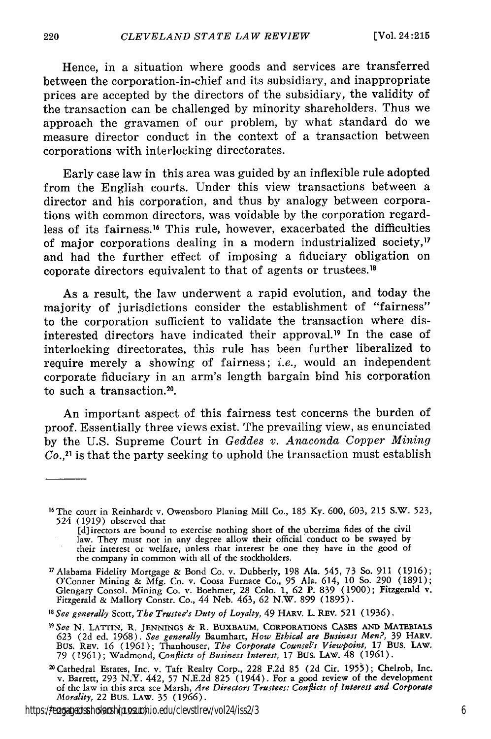Hence, in a situation where goods and services are transferred between the corporation-in-chief and its subsidiary, and inappropriate prices are accepted by the directors of the subsidiary, the validity of the transaction can be challenged by minority shareholders. Thus we approach the gravamen of our problem, by what standard do we measure director conduct in the context of a transaction between corporations with interlocking directorates.

Early case law in this area was guided by an inflexible rule adopted from the English courts. Under this view transactions between a director and his corporation, and thus by analogy between corporations with common directors, was voidable by the corporation regardless of its fairness.<sup>16</sup> This rule, however, exacerbated the difficulties of major corporations dealing in a modern industrialized society, $^{\prime\prime}$ and had the further effect of imposing a fiduciary obligation on coporate directors equivalent to that of agents or trustees.'

As a result, the law underwent a rapid evolution, and today the majority of jurisdictions consider the establishment of "fairness" to the corporation sufficient to validate the transaction where disinterested directors have indicated their approval.<sup>19</sup> In the case of interlocking directorates, this rule has been further liberalized to require merely a showing of fairness; *i.e.,* would an independent corporate fiduciary in an arm's length bargain bind his corporation to such a transaction.<sup>20</sup>.

An important aspect of this fairness test concerns the burden of proof. Essentially three views exist. The prevailing view, as enunciated by the U.S. Supreme Court in *Geddes v. Anaconda Copper Mining Co.,21* is that the party seeking to uphold the transaction must establish

<sup>&</sup>lt;sup>16</sup> The court in Reinhardt v. Owensboro Planing Mill Co., 185 Ky. 600, 603, 215 S.W. 523, 524 (1919) observed that

<sup>[</sup>dlirectors are bound to exercise nothing short of the uberrima fides of the civil law. They must not in any degree allow their official conduct to be swayed by their interest or welfare, unless that interest be one they have in the good of the company in common with all of the stockholders. the company in common with all of the stockholders. 17Alabama Fidelity Mortgage **&** Bond Co. v. Dubberly, **198** Ala. 545, 73 So. **911 (1916);**

O'Conner Mining **&** Mfg. Co. v. Coosa Furnace Co., 95 Ala. 614, **10** So. **290** (1891); Glengary Consol. Mining Co. v. Boehmer, 28 Colo. **1, 62** P. **839** (1900); Fitzgerald v. Fitzgerald **&** Mallory Constr. Co., 44 Neb. 463, **62** N.W. **899** (1895). *<sup>18</sup> See generally* Scott, *The Trustee's Duty of Loyalty,* 49 HARV. L. REV. 521 (1936).

*<sup>19</sup> See* N. **LATTIN, R. JENNINGS &** R. BUXBAUM, CORPORATIONS CASES **AND MATERIALS 623** (2d ed. 1968). *See generally* Baumhart, *How Ethical are Business Men?,* **39** HARv. Bus. REV. **16** (1961); Thanhouser, *The Corporate Counsel's Viewpoint,* 17 BUS. LAW. 79 (1961); Wadmond, *Conflicts of Business Interest,* 17 Bus. LAw. 48 (1961).

<sup>2°</sup>Cathedral Estates, Inc. v. Taft Realty Corp., 228 F.2d 85 (2d Cir. 1955); Chelrob, Inc. v. Barrett, 293 N.Y. 442, 57 N.E.2d 825 (1944). For a good review of the development of the law in this area see Marsh, *Are Directors Trustees: Conflicts of Interest and Corporate Morality,* 22 BuS. LAw. 35 (1966).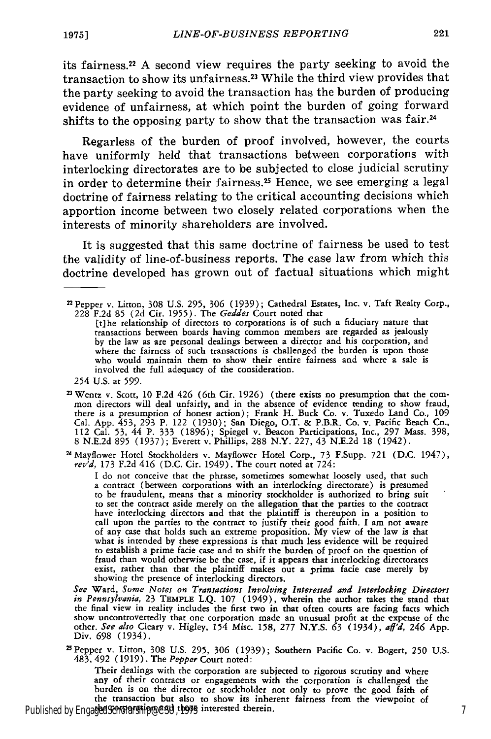its fairness.22 A second view requires the party seeking to avoid the transaction to show its unfairness.23 While the third view provides that the party seeking to avoid the transaction has the burden of producing evidence of unfairness, at which point the burden of going forward shifts to the opposing party to show that the transaction was fair.<sup>24</sup>

Regarless of the burden of proof involved, however, the courts have uniformly held that transactions between corporations with interlocking directorates are to be subjected to close judicial scrutiny in order to determine their fairness.25 Hence, we see emerging a legal doctrine of fairness relating to the critical accounting decisions which apportion income between two closely related corporations when the interests of minority shareholders are involved.

It is suggested that this same doctrine of fairness be used to test the validity of line-of-business reports. The case law from which this doctrine developed has grown out of factual situations which might

2 Wentz v. Scott, 10 F.2d 426 (6th Cir. 1926) (there exists no presumption that the common directors will deal unfairly, and in the absence of evidence tending to show fraud<br>there is a presumption of honest action); Frank H. Buck Co. v. Tuxedo Land Co., 109 Cal. App. 453, **293** P. 122 (1930); San Diego, O.T. & P.B.R. Co. v. Pacific Beach Co., 112 Cal. **53,** 44 P. 333 (1896); Spiegel v. Beacon Participations, Inc., **297** Mass. 398, 8 N.E.2d 895 (1937); Everett v. Phillips, 288 N.Y. 227, 43 N.E.2d 18 (1942).

24Mayflower Hotel Stockholders v. Mayflower Hotel Corp., 73 F.Supp. 721 (D.C. 1947), *rev'd,* 173 F.2d 416 (D.C. Cir. 1949). The court noted at 724:

**<sup>I</sup>**do not conceive that the phrase, sometimes somewhat loosely used, that such a contract (between corporations with an interlocking directorate) is presumed to be fraudulent, means that a minority stockholder is authorized to bring suit to set the contract aside merely on the allegation that the parties to the contract have interlocking directors and that the plaintiff is thereupon in a position to call upon the parties to the contract to justify their good faith. I am not aware of any case that holds such an extreme proposition. My view of the law is that what is intended by these expressions is that much less evidence will be required to establish a prime facie case and to shift the burden of proof on the question of fraud than would otherwise be the case, if it appears that interlocking directorates exist, rather than that the plaintiff makes out a prima facie case merely by showing the presence of interlocking directors.

*See* Ward, *Some Notes on Transactions Involving Interested and Interlocking Directors in Pennsylvania,* 23 TEMPLE L.Q. **107** (1949), wherein the author takes the stand that the final view in reality includes the first two in that often courts are facing facts which show uncontrovertedly that one corporation made an unusual profit at the expense of the other. *See also* Cleary v. Higley, 154 Misc. **158,** 277 N.Y.S. **63** (1934), *aff'd, 246* App. Div. **698** (1934).

25Pepper v. Litton, 308 U.S. **295, 306 (1939);** Southern Pacific Co. v. Bogert, **250** U.S. 483,492 (1919). The *Pepper* Court noted:

Their dealings with the corporation are subjected to rigorous scrutiny and where any of their contracts or engagements with the corporation is challenged the burden is on the director or stockholder not only to prove the good faith of the transaction but also to show its inherent fairness from the viewpoint of Published by EngagedScholarship@CSU, those interested therein.

<sup>2</sup> Pepper v. Litton, **308** U.S. 295, 306 (1939); Cathedral Estates, Inc. v. Taft Realty Corp., 228 F.2d 85 (2d Cit. 1955). The *Geddes* Court noted that

<sup>[</sup>t)he relationship of directors to corporations is of such a fiduciary nature that transactions between boards having common members are regarded as jealously by the law as are personal dealings between a director and his corporation, and where the fairness of such transactions is challenged the burden is upon those who would maintain them to show their entire fairness and where a sale is involved the full adequacy of the consideration.

<sup>254</sup> U.S. at 599.